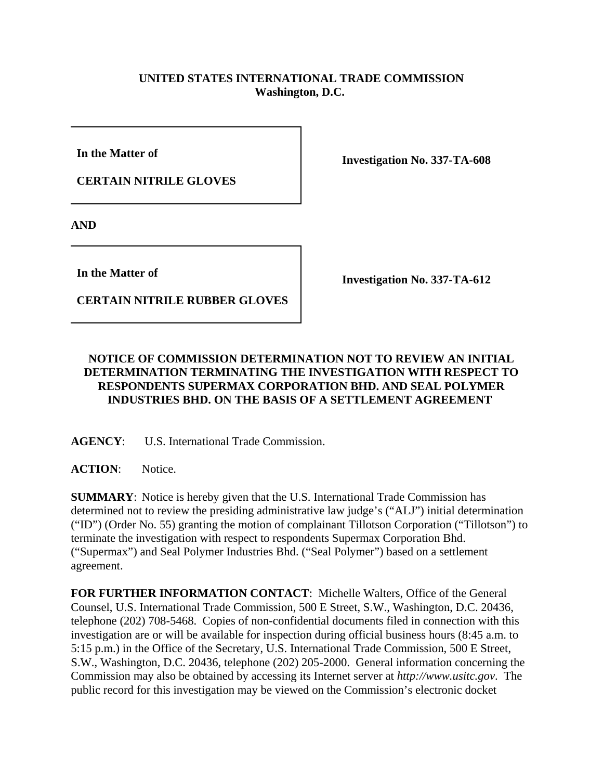## **UNITED STATES INTERNATIONAL TRADE COMMISSION Washington, D.C.**

**In the Matter of** 

**CERTAIN NITRILE GLOVES**

**Investigation No. 337-TA-608**

**AND**

**In the Matter of** 

**CERTAIN NITRILE RUBBER GLOVES**

**Investigation No. 337-TA-612**

## **NOTICE OF COMMISSION DETERMINATION NOT TO REVIEW AN INITIAL DETERMINATION TERMINATING THE INVESTIGATION WITH RESPECT TO RESPONDENTS SUPERMAX CORPORATION BHD. AND SEAL POLYMER INDUSTRIES BHD. ON THE BASIS OF A SETTLEMENT AGREEMENT**

**AGENCY**: U.S. International Trade Commission.

**ACTION**: Notice.

**SUMMARY**: Notice is hereby given that the U.S. International Trade Commission has determined not to review the presiding administrative law judge's ("ALJ") initial determination ("ID") (Order No. 55) granting the motion of complainant Tillotson Corporation ("Tillotson") to terminate the investigation with respect to respondents Supermax Corporation Bhd. ("Supermax") and Seal Polymer Industries Bhd. ("Seal Polymer") based on a settlement agreement.

**FOR FURTHER INFORMATION CONTACT**: Michelle Walters, Office of the General Counsel, U.S. International Trade Commission, 500 E Street, S.W., Washington, D.C. 20436, telephone (202) 708-5468. Copies of non-confidential documents filed in connection with this investigation are or will be available for inspection during official business hours (8:45 a.m. to 5:15 p.m.) in the Office of the Secretary, U.S. International Trade Commission, 500 E Street, S.W., Washington, D.C. 20436, telephone (202) 205-2000. General information concerning the Commission may also be obtained by accessing its Internet server at *http://www.usitc.gov*. The public record for this investigation may be viewed on the Commission's electronic docket